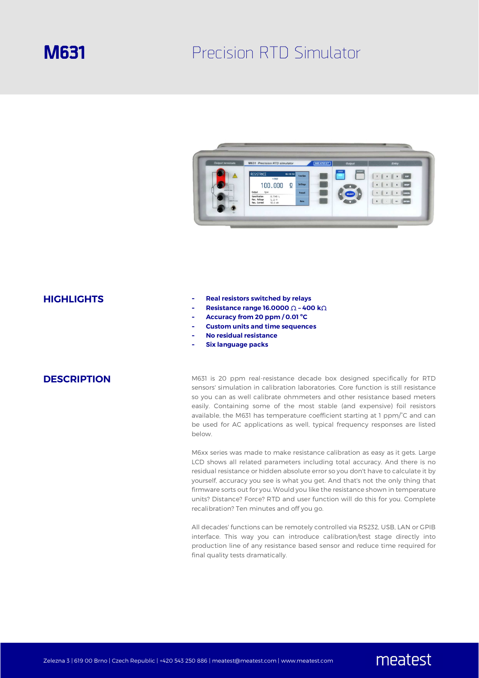# **M631** Precision RTD Simulator



- **HIGHLIGHTS - Real resistors switched by relays** 
	- **- Resistance range 16.0000** Ω **400 k**Ω
	- **- Accuracy from 20 ppm / 0.01 ºC**
	- **- Custom units and time sequences**
	- **- No residual resistance**
	- **- Six language packs**

**DESCRIPTION** M631 is 20 ppm real-resistance decade box designed specifically for RTD sensors' simulation in calibration laboratories. Core function is still resistance so you can as well calibrate ohmmeters and other resistance based meters easily. Containing some of the most stable (and expensive) foil resistors available, the M631 has temperature coefficient starting at 1 ppm/°C and can be used for AC applications as well, typical frequency responses are listed below.

> M6xx series was made to make resistance calibration as easy as it gets. Large LCD shows all related parameters including total accuracy. And there is no residual resistance or hidden absolute error so you don't have to calculate it by yourself, accuracy you see is what you get. And that's not the only thing that firmware sorts out for you. Would you like the resistance shown in temperature units? Distance? Force? RTD and user function will do this for you. Complete recalibration? Ten minutes and off you go.

> All decades' functions can be remotely controlled via RS232, USB, LAN or GPIB interface. This way you can introduce calibration/test stage directly into production line of any resistance based sensor and reduce time required for final quality tests dramatically.

> > meatest